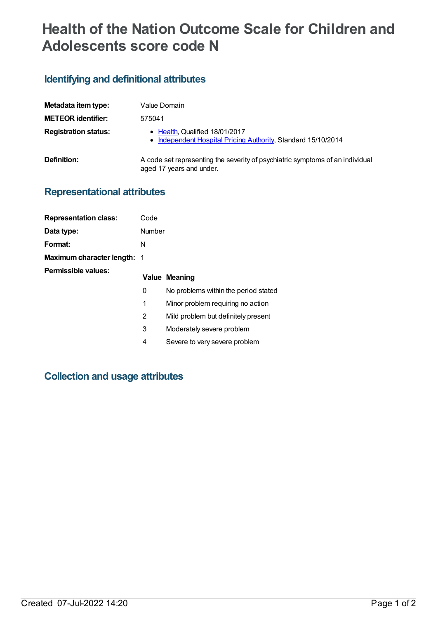# **Health of the Nation Outcome Scale for Children and Adolescents score code N**

### **Identifying and definitional attributes**

| Metadata item type:         | Value Domain                                                                                              |
|-----------------------------|-----------------------------------------------------------------------------------------------------------|
| <b>METEOR identifier:</b>   | 575041                                                                                                    |
| <b>Registration status:</b> | • Health, Qualified 18/01/2017<br>• Independent Hospital Pricing Authority, Standard 15/10/2014           |
| Definition:                 | A code set representing the severity of psychiatric symptoms of an individual<br>aged 17 years and under. |

## **Representational attributes**

| <b>Representation class:</b>       | Code   |                                      |
|------------------------------------|--------|--------------------------------------|
| Data type:                         | Number |                                      |
| Format:                            | N      |                                      |
| <b>Maximum character length: 1</b> |        |                                      |
| Permissible values:                |        |                                      |
|                                    |        | <b>Value Meaning</b>                 |
|                                    | 0      | No problems within the period stated |
|                                    | 1      | Minor problem requiring no action    |
|                                    | 2      | Mild problem but definitely present  |
|                                    | 3      | Moderately severe problem            |
|                                    | 4      | Severe to very severe problem        |

#### **Collection and usage attributes**